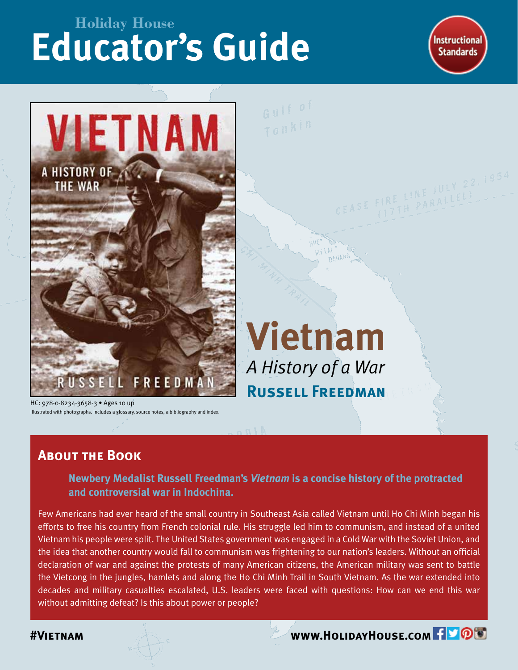# **Educator's Guide Holiday House**

**Instructional Standards** 



**Vietnam**

*A History of a War*

**Russell Freedman**

HC: 978-0-8234-3658-3 • Ages 10 up Illustrated with photographs. Includes a glossary, source notes, a bibliography and index.

### **About the Book**

**Newbery Medalist Russell Freedman's** *Vietnam* **is a concise history of the protracted and controversial war in Indochina.**

Few Americans had ever heard of the small country in Southeast Asia called Vietnam until Ho Chi Minh began his efforts to free his country from French colonial rule. His struggle led him to communism, and instead of a united Vietnam his people were split. The United States government was engaged in a Cold War with the Soviet Union, and the idea that another country would fall to communism was frightening to our nation's leaders. Without an official declaration of war and against the protests of many American citizens, the American military was sent to battle the Vietcong in the jungles, hamlets and along the Ho Chi Minh Trail in South Vietnam. As the war extended into decades and military casualties escalated, U.S. leaders were faced with questions: How can we end this war without admitting defeat? Is this about power or people?

**AVIETNAM WWW.HOLIDAYHOUSE.COM**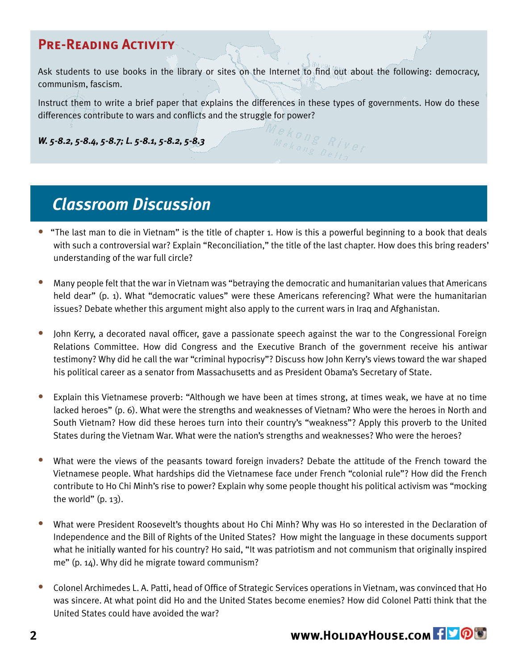### **Pre-Reading Activity**

Ask students to use books in the library or sites on the Internet to find out about the following: democracy, communism, fascism.

Instruct them to write a brief paper that explains the differences in these types of governments. How do these differences contribute to wars and conflicts and the struggle for power?

*W. 5-8.2, 5-8.4, 5-8.7; L. 5-8.1, 5-8.2, 5-8.3*

## *Classroom Discussion*

- "The last man to die in Vietnam" is the title of chapter 1. How is this a powerful beginning to a book that deals with such a controversial war? Explain "Reconciliation," the title of the last chapter. How does this bring readers' understanding of the war full circle?
- Many people felt that the war in Vietnam was "betraying the democratic and humanitarian values that Americans held dear" (p. 1). What "democratic values" were these Americans referencing? What were the humanitarian issues? Debate whether this argument might also apply to the current wars in Iraq and Afghanistan.  $\bullet$
- John Kerry, a decorated naval officer, gave a passionate speech against the war to the Congressional Foreign Relations Committee. How did Congress and the Executive Branch of the government receive his antiwar testimony? Why did he call the war "criminal hypocrisy"? Discuss how John Kerry's views toward the war shaped his political career as a senator from Massachusetts and as President Obama's Secretary of State. •
- Explain this Vietnamese proverb: "Although we have been at times strong, at times weak, we have at no time lacked heroes" (p. 6). What were the strengths and weaknesses of Vietnam? Who were the heroes in North and South Vietnam? How did these heroes turn into their country's "weakness"? Apply this proverb to the United States during the Vietnam War. What were the nation's strengths and weaknesses? Who were the heroes?  $\bullet$
- What were the views of the peasants toward foreign invaders? Debate the attitude of the French toward the Vietnamese people. What hardships did the Vietnamese face under French "colonial rule"? How did the French contribute to Ho Chi Minh's rise to power? Explain why some people thought his political activism was "mocking the world" (p. 13). •
- What were President Roosevelt's thoughts about Ho Chi Minh? Why was Ho so interested in the Declaration of Independence and the Bill of Rights of the United States? How might the language in these documents support what he initially wanted for his country? Ho said, "It was patriotism and not communism that originally inspired me" (p. 14). Why did he migrate toward communism?  $\bullet$
- Colonel Archimedes L. A. Patti, head of Office of Strategic Services operations in Vietnam, was convinced that Ho was sincere. At what point did Ho and the United States become enemies? How did Colonel Patti think that the United States could have avoided the war? •

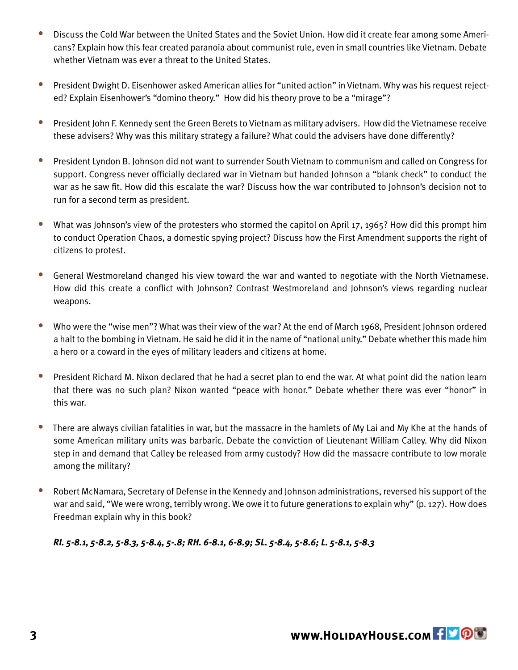- Discuss the Cold War between the United States and the Soviet Union. How did it create fear among some Americans? Explain how this fear created paranoia about communist rule, even in small countries like Vietnam. Debate whether Vietnam was ever a threat to the United States. •
- President Dwight D. Eisenhower asked American allies for "united action" in Vietnam. Why was his request rejected? Explain Eisenhower's "domino theory." How did his theory prove to be a "mirage"?  $\bullet$
- President John F. Kennedy sent the Green Berets to Vietnam as military advisers. How did the Vietnamese receive these advisers? Why was this military strategy a failure? What could the advisers have done differently?  $\bullet$
- President Lyndon B. Johnson did not want to surrender South Vietnam to communism and called on Congress for support. Congress never officially declared war in Vietnam but handed Johnson a "blank check" to conduct the war as he saw fit. How did this escalate the war? Discuss how the war contributed to Johnson's decision not to run for a second term as president.  $\bullet$
- What was Johnson's view of the protesters who stormed the capitol on April 17, 1965? How did this prompt him to conduct Operation Chaos, a domestic spying project? Discuss how the First Amendment supports the right of citizens to protest. •
- General Westmoreland changed his view toward the war and wanted to negotiate with the North Vietnamese. How did this create a conflict with Johnson? Contrast Westmoreland and Johnson's views regarding nuclear weapons. •
- Who were the "wise men"? What was their view of the war? At the end of March 1968, President Johnson ordered a halt to the bombing in Vietnam. He said he did it in the name of "national unity." Debate whether this made him a hero or a coward in the eyes of military leaders and citizens at home.  $\bullet$
- President Richard M. Nixon declared that he had a secret plan to end the war. At what point did the nation learn that there was no such plan? Nixon wanted "peace with honor." Debate whether there was ever "honor" in this war.  $\bullet$
- There are always civilian fatalities in war, but the massacre in the hamlets of My Lai and My Khe at the hands of some American military units was barbaric. Debate the conviction of Lieutenant William Calley. Why did Nixon step in and demand that Calley be released from army custody? How did the massacre contribute to low morale among the military? •
- Robert McNamara, Secretary of Defense in the Kennedy and Johnson administrations, reversed his support of the war and said, "We were wrong, terribly wrong. We owe it to future generations to explain why" (p. 127). How does Freedman explain why in this book?  $\bullet$

*RI. 5-8.1, 5-8.2, 5-8.3, 5-8.4, 5-.8; RH. 6-8.1, 6-8.9; SL. 5-8.4, 5-8.6; L. 5-8.1, 5-8.3*

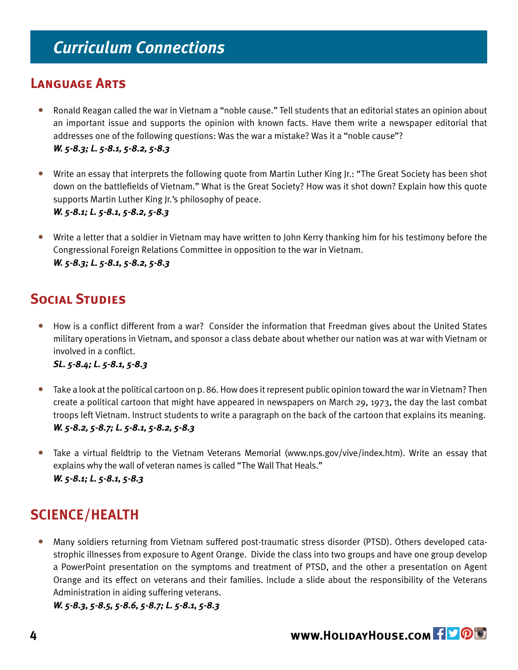#### **Language Arts**

- Ronald Reagan called the war in Vietnam a "noble cause." Tell students that an editorial states an opinion about an important issue and supports the opinion with known facts. Have them write a newspaper editorial that addresses one of the following questions: Was the war a mistake? Was it a "noble cause"? *W. 5-8.3; L. 5-8.1, 5-8.2, 5-8.3* •
- Write an essay that interprets the following quote from Martin Luther King Jr.: "The Great Society has been shot down on the battlefields of Vietnam." What is the Great Society? How was it shot down? Explain how this quote supports Martin Luther King Jr.'s philosophy of peace. *W. 5-8.1; L. 5-8.1, 5-8.2, 5-8.3* •
- Write a letter that a soldier in Vietnam may have written to John Kerry thanking him for his testimony before the Congressional Foreign Relations Committee in opposition to the war in Vietnam. *W. 5-8.3; L. 5-8.1, 5-8.2, 5-8.3*

### **Social Studies**

How is a conflict different from a war? Consider the information that Freedman gives about the United States military operations in Vietnam, and sponsor a class debate about whether our nation was at war with Vietnam or involved in a conflict. •

#### *SL. 5-8.4; L. 5-8.1, 5-8.3*

- Take a look at the political cartoon on p. 86. How does it represent public opinion toward the war in Vietnam? Then create a political cartoon that might have appeared in newspapers on March 29, 1973, the day the last combat troops left Vietnam. Instruct students to write a paragraph on the back of the cartoon that explains its meaning. *W. 5-8.2, 5-8.7; L. 5-8.1, 5-8.2, 5-8.3*  •
- Take a virtual fieldtrip to the Vietnam Veterans Memorial (www.nps.gov/vive/index.htm). Write an essay that explains why the wall of veteran names is called "The Wall That Heals." *W. 5-8.1; L. 5-8.1, 5-8.3* •

### **SCIENCE/HEALTH**

Many soldiers returning from Vietnam suffered post-traumatic stress disorder (PTSD). Others developed catastrophic illnesses from exposure to Agent Orange. Divide the class into two groups and have one group develop a PowerPoint presentation on the symptoms and treatment of PTSD, and the other a presentation on Agent Orange and its effect on veterans and their families. Include a slide about the responsibility of the Veterans Administration in aiding suffering veterans.  $\bullet$ 

*W. 5-8.3, 5-8.5, 5-8.6, 5-8.7; L. 5-8.1, 5-8.3*

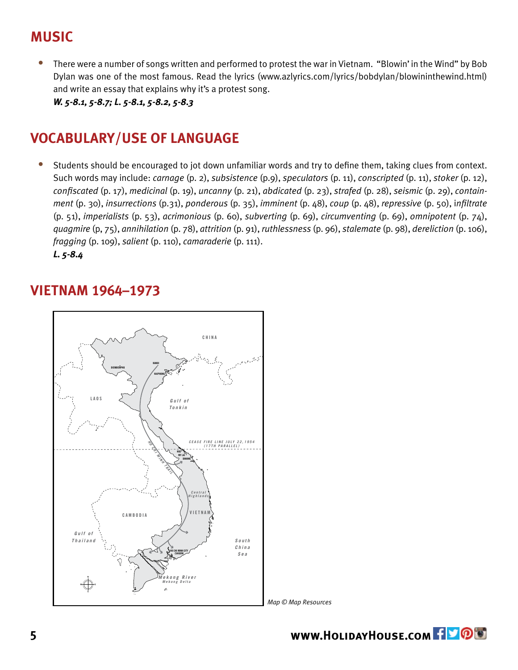### **MUSIC**

There were a number of songs written and performed to protest the war in Vietnam. "Blowin' in the Wind" by Bob Dylan was one of the most famous. Read the lyrics (www.azlyrics.com/lyrics/bobdylan/blowininthewind.html) and write an essay that explains why it's a protest song. *W. 5-8.1, 5-8.7; L. 5-8.1, 5-8.2, 5-8.3*  •

#### **VOCABULARY/USE OF LANGUAGE**

Students should be encouraged to jot down unfamiliar words and try to define them, taking clues from context. Such words may include: *carnage* (p. 2), *subsistence* (p.9), *speculators* (p. 11), *conscripted* (p. 11), *stoker* (p. 12), *confiscated* (p. 17), *medicinal* (p. 19), *uncanny* (p. 21), *abdicated* (p. 23), *strafed* (p. 28), *seismic* (p. 29), *containment* (p. 30), *insurrections* (p.31), *ponderous* (p. 35), *imminent* (p. 48), *coup* (p. 48), *repressive* (p. 50), i*nfiltrate*  (p. 51), *imperialists* (p. 53), *acrimonious* (p. 60), *subverting* (p. 69), *circumventing* (p. 69), *omnipotent* (p. 74), *quagmire* (p, 75), *annihilation* (p. 78), *attrition* (p. 91), *ruthlessness* (p. 96), *stalemate* (p. 98), *dereliction* (p. 106), *fragging* (p. 109), *salient* (p. 110), *camaraderie* (p. 111). *L. 5-8.4* •

#### **VIETNAM 1964–1973**



*Map © Map Resources*